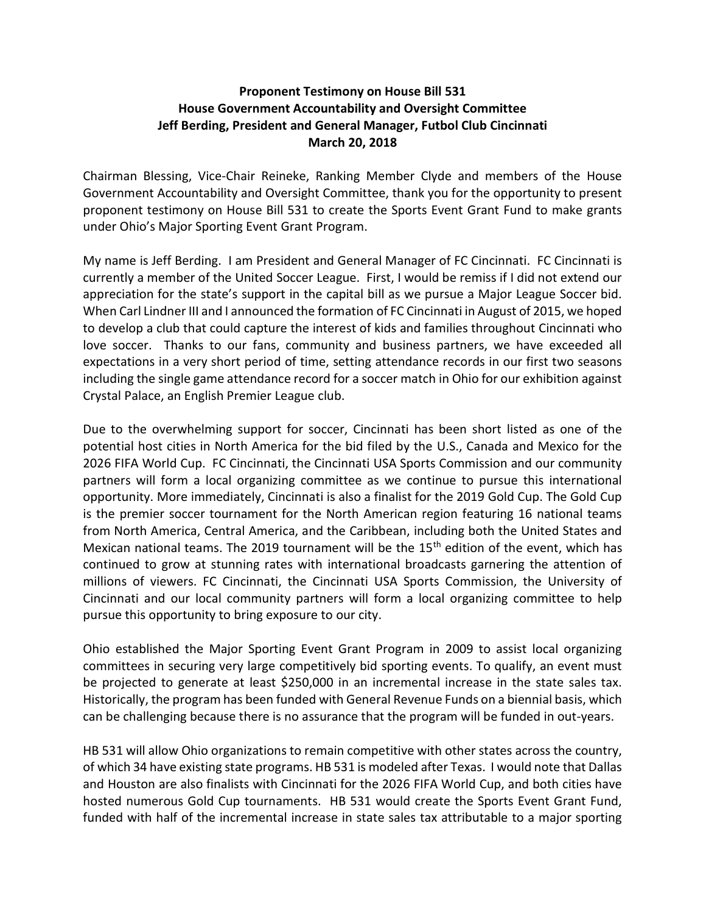## Proponent Testimony on House Bill 531 House Government Accountability and Oversight Committee Jeff Berding, President and General Manager, Futbol Club Cincinnati March 20, 2018

Chairman Blessing, Vice-Chair Reineke, Ranking Member Clyde and members of the House Government Accountability and Oversight Committee, thank you for the opportunity to present proponent testimony on House Bill 531 to create the Sports Event Grant Fund to make grants under Ohio's Major Sporting Event Grant Program.

My name is Jeff Berding. I am President and General Manager of FC Cincinnati. FC Cincinnati is currently a member of the United Soccer League. First, I would be remiss if I did not extend our appreciation for the state's support in the capital bill as we pursue a Major League Soccer bid. When Carl Lindner III and I announced the formation of FC Cincinnati in August of 2015, we hoped to develop a club that could capture the interest of kids and families throughout Cincinnati who love soccer. Thanks to our fans, community and business partners, we have exceeded all expectations in a very short period of time, setting attendance records in our first two seasons including the single game attendance record for a soccer match in Ohio for our exhibition against Crystal Palace, an English Premier League club.

Due to the overwhelming support for soccer, Cincinnati has been short listed as one of the potential host cities in North America for the bid filed by the U.S., Canada and Mexico for the 2026 FIFA World Cup. FC Cincinnati, the Cincinnati USA Sports Commission and our community partners will form a local organizing committee as we continue to pursue this international opportunity. More immediately, Cincinnati is also a finalist for the 2019 Gold Cup. The Gold Cup is the premier soccer tournament for the North American region featuring 16 national teams from North America, Central America, and the Caribbean, including both the United States and Mexican national teams. The 2019 tournament will be the 15<sup>th</sup> edition of the event, which has continued to grow at stunning rates with international broadcasts garnering the attention of millions of viewers. FC Cincinnati, the Cincinnati USA Sports Commission, the University of Cincinnati and our local community partners will form a local organizing committee to help pursue this opportunity to bring exposure to our city.

Ohio established the Major Sporting Event Grant Program in 2009 to assist local organizing committees in securing very large competitively bid sporting events. To qualify, an event must be projected to generate at least \$250,000 in an incremental increase in the state sales tax. Historically, the program has been funded with General Revenue Funds on a biennial basis, which can be challenging because there is no assurance that the program will be funded in out-years.

HB 531 will allow Ohio organizations to remain competitive with other states across the country, of which 34 have existing state programs. HB 531 is modeled after Texas. I would note that Dallas and Houston are also finalists with Cincinnati for the 2026 FIFA World Cup, and both cities have hosted numerous Gold Cup tournaments. HB 531 would create the Sports Event Grant Fund, funded with half of the incremental increase in state sales tax attributable to a major sporting